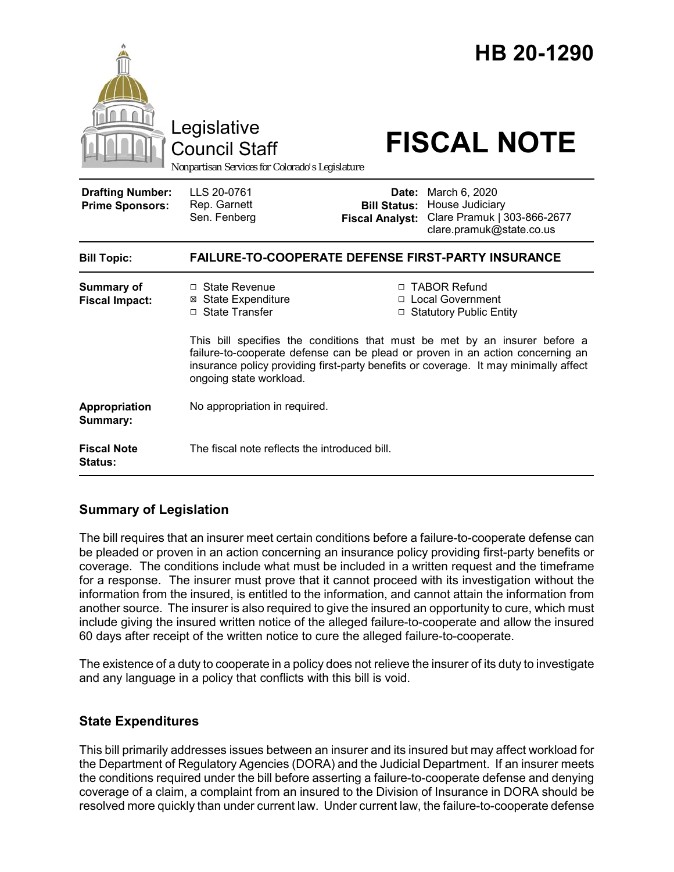

## **Summary of Legislation**

The bill requires that an insurer meet certain conditions before a failure-to-cooperate defense can be pleaded or proven in an action concerning an insurance policy providing first-party benefits or coverage. The conditions include what must be included in a written request and the timeframe for a response. The insurer must prove that it cannot proceed with its investigation without the information from the insured, is entitled to the information, and cannot attain the information from another source. The insurer is also required to give the insured an opportunity to cure, which must include giving the insured written notice of the alleged failure-to-cooperate and allow the insured 60 days after receipt of the written notice to cure the alleged failure-to-cooperate.

The existence of a duty to cooperate in a policy does not relieve the insurer of its duty to investigate and any language in a policy that conflicts with this bill is void.

## **State Expenditures**

This bill primarily addresses issues between an insurer and its insured but may affect workload for the Department of Regulatory Agencies (DORA) and the Judicial Department. If an insurer meets the conditions required under the bill before asserting a failure-to-cooperate defense and denying coverage of a claim, a complaint from an insured to the Division of Insurance in DORA should be resolved more quickly than under current law. Under current law, the failure-to-cooperate defense